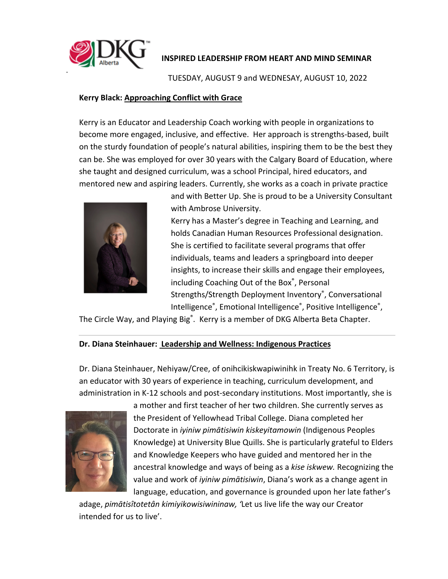

### **INSPIRED LEADERSHIP FROM HEART AND MIND SEMINAR**

TUESDAY, AUGUST 9 and WEDNESAY, AUGUST 10, 2022

#### **Kerry Black: Approaching Conflict with Grace**

Kerry is an Educator and Leadership Coach working with people in organizations to become more engaged, inclusive, and effective. Her approach is strengths-based, built on the sturdy foundation of people's natural abilities, inspiring them to be the best they can be. She was employed for over 30 years with the Calgary Board of Education, where she taught and designed curriculum, was a school Principal, hired educators, and mentored new and aspiring leaders. Currently, she works as a coach in private practice



and with Better Up. She is proud to be a University Consultant with Ambrose University.

Kerry has a Master's degree in Teaching and Learning, and holds Canadian Human Resources Professional designation. She is certified to facilitate several programs that offer individuals, teams and leaders a springboard into deeper insights, to increase their skills and engage their employees, including Coaching Out of the Box®, Personal Strengths/Strength Deployment Inventory® , Conversational Intelligence®, Emotional Intelligence®, Positive Intelligence®,

The Circle Way, and Playing Big<sup>®</sup>. Kerry is a member of DKG Alberta Beta Chapter.

### **Dr. Diana Steinhauer: Leadership and Wellness: Indigenous Practices**

Dr. Diana Steinhauer, Nehiyaw/Cree, of onihcikiskwapiwinihk in Treaty No. 6 Territory, is an educator with 30 years of experience in teaching, curriculum development, and administration in K-12 schools and post-secondary institutions. Most importantly, she is



a mother and first teacher of her two children. She currently serves as the President of Yellowhead Tribal College. Diana completed her Doctorate in *iyiniw pimātisiwin kiskeyitamowin* (Indigenous Peoples Knowledge) at University Blue Quills. She is particularly grateful to Elders and Knowledge Keepers who have guided and mentored her in the ancestral knowledge and ways of being as a *kise iskwew.* Recognizing the value and work of *iyiniw pimātisiwin*, Diana's work as a change agent in language, education, and governance is grounded upon her late father's

adage, *pimātisîtotetân kimiyikowisiwininaw, '*Let us live life the way our Creator intended for us to live'.